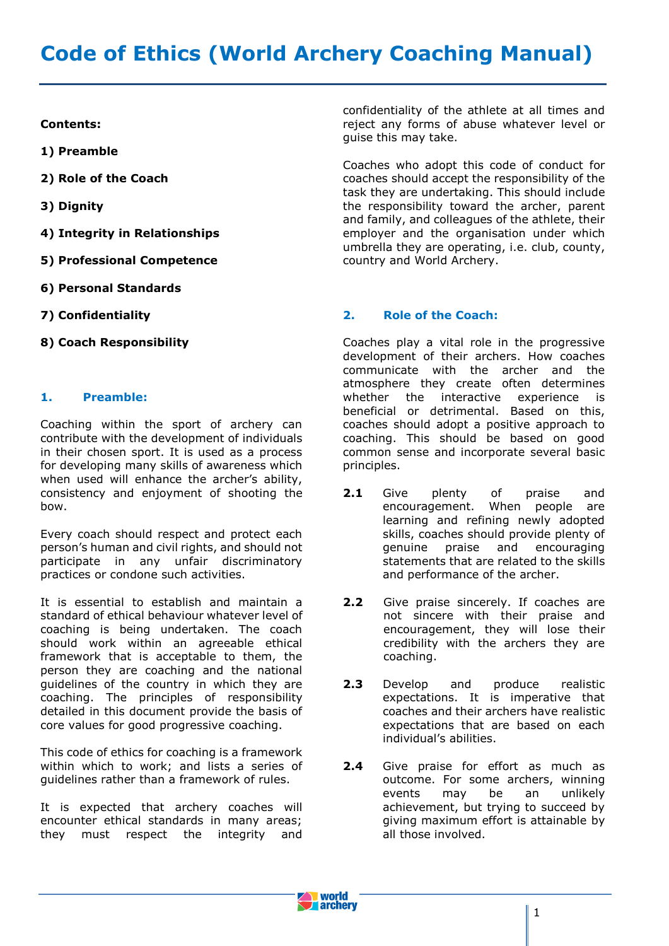# **Code of Ethics (World Archery Coaching Manual)**

#### **Contents:**

**1) Preamble**

- **2) Role of the Coach**
- **3) Dignity**
- **4) Integrity in Relationships**
- **5) Professional Competence**
- **6) Personal Standards**
- **7) Confidentiality**
- **8) Coach Responsibility**

## **1. Preamble:**

Coaching within the sport of archery can contribute with the development of individuals in their chosen sport. It is used as a process for developing many skills of awareness which when used will enhance the archer's ability, consistency and enjoyment of shooting the bow.

Every coach should respect and protect each person's human and civil rights, and should not participate in any unfair discriminatory practices or condone such activities.

It is essential to establish and maintain a standard of ethical behaviour whatever level of coaching is being undertaken. The coach should work within an agreeable ethical framework that is acceptable to them, the person they are coaching and the national quidelines of the country in which they are coaching. The principles of responsibility detailed in this document provide the basis of core values for good progressive coaching.

This code of ethics for coaching is a framework within which to work; and lists a series of guidelines rather than a framework of rules.

It is expected that archery coaches will encounter ethical standards in many areas; they must respect the integrity and

confidentiality of the athlete at all times and reject any forms of abuse whatever level or guise this may take.

Coaches who adopt this code of conduct for coaches should accept the responsibility of the task they are undertaking. This should include the responsibility toward the archer, parent and family, and colleagues of the athlete, their employer and the organisation under which umbrella they are operating, i.e. club, county, country and World Archery.

#### **2. Role of the Coach:**

Coaches play a vital role in the progressive development of their archers. How coaches communicate with the archer and the atmosphere they create often determines whether the interactive experience is beneficial or detrimental. Based on this, coaches should adopt a positive approach to coaching. This should be based on good common sense and incorporate several basic principles.

- 2.1 Give plenty of praise and encouragement. When people are learning and refining newly adopted skills, coaches should provide plenty of genuine praise and encouraging statements that are related to the skills and performance of the archer.
- 2.2 Give praise sincerely. If coaches are not sincere with their praise and encouragement, they will lose their credibility with the archers they are coaching.
- **2.3** Develop and produce realistic expectations. It is imperative that coaches and their archers have realistic expectations that are based on each individual's abilities.
- **2.4** Give praise for effort as much as outcome. For some archers, winning events may be an unlikely achievement, but trying to succeed by giving maximum effort is attainable by all those involved.

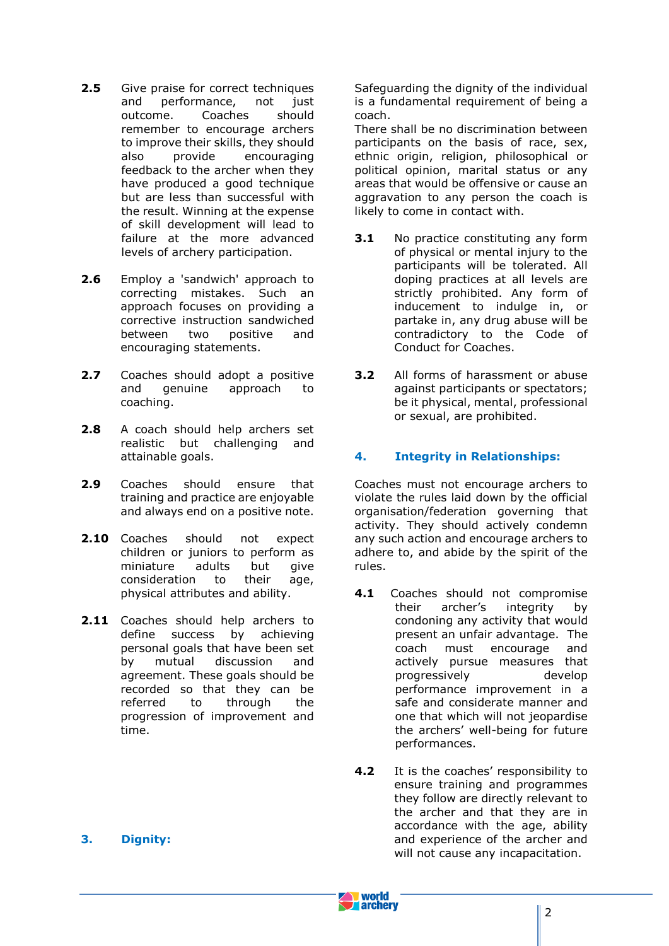- **2.5** Give praise for correct techniques and performance, not just outcome. Coaches should remember to encourage archers to improve their skills, they should also provide encouraging feedback to the archer when they have produced a good technique but are less than successful with the result. Winning at the expense of skill development will lead to failure at the more advanced levels of archery participation.
- 2.6 Employ a 'sandwich' approach to correcting mistakes. Such an approach focuses on providing a corrective instruction sandwiched between two positive and encouraging statements.
- 2.7 Coaches should adopt a positive and genuine approach to coaching.
- 2.8 A coach should help archers set realistic but challenging and attainable goals.
- **2.9** Coaches should ensure that training and practice are enjoyable and always end on a positive note.
- 2.10 Coaches should not expect children or juniors to perform as miniature adults but give consideration to their age, physical attributes and ability.
- 2.11 Coaches should help archers to define success by achieving personal goals that have been set by mutual discussion and agreement. These goals should be recorded so that they can be referred to through the progression of improvement and time.

**3. Dignity:**

Safeguarding the dignity of the individual is a fundamental requirement of being a coach.

There shall be no discrimination between participants on the basis of race, sex, ethnic origin, religion, philosophical or political opinion, marital status or any areas that would be offensive or cause an aggravation to any person the coach is likely to come in contact with.

- **3.1** No practice constituting any form of physical or mental injury to the participants will be tolerated. All doping practices at all levels are strictly prohibited. Any form of inducement to indulge in, or partake in, any drug abuse will be contradictory to the Code of Conduct for Coaches.
- **3.2** All forms of harassment or abuse against participants or spectators; be it physical, mental, professional or sexual, are prohibited.

# **4. Integrity in Relationships:**

Coaches must not encourage archers to violate the rules laid down by the official organisation/federation governing that activity. They should actively condemn any such action and encourage archers to adhere to, and abide by the spirit of the rules.

- **4.1** Coaches should not compromise their archer's integrity by condoning any activity that would present an unfair advantage. The coach must encourage and actively pursue measures that progressively develop performance improvement in a safe and considerate manner and one that which will not jeopardise the archers' well-being for future performances.
- **4.2** It is the coaches' responsibility to ensure training and programmes they follow are directly relevant to the archer and that they are in accordance with the age, ability and experience of the archer and will not cause any incapacitation.

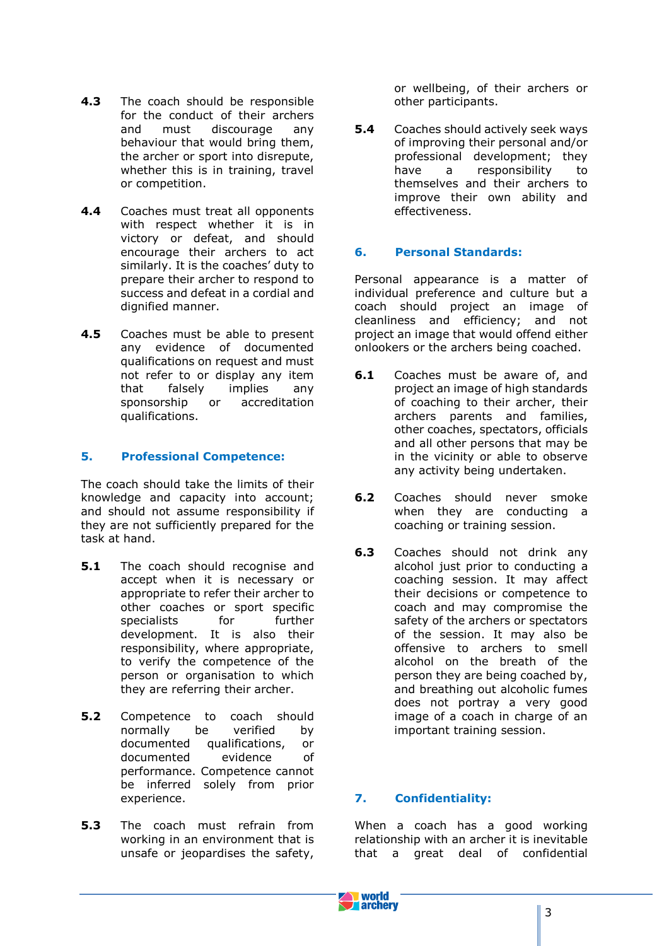- **4.3** The coach should be responsible for the conduct of their archers and must discourage any behaviour that would bring them, the archer or sport into disrepute, whether this is in training, travel or competition.
- **4.4** Coaches must treat all opponents with respect whether it is in victory or defeat, and should encourage their archers to act similarly. It is the coaches' duty to prepare their archer to respond to success and defeat in a cordial and dignified manner.
- **4.5** Coaches must be able to present any evidence of documented qualifications on request and must not refer to or display any item that falsely implies any sponsorship or accreditation qualifications.

## **5. Professional Competence:**

The coach should take the limits of their knowledge and capacity into account; and should not assume responsibility if they are not sufficiently prepared for the task at hand.

- **5.1** The coach should recognise and accept when it is necessary or appropriate to refer their archer to other coaches or sport specific specialists for further development. It is also their responsibility, where appropriate, to verify the competence of the person or organisation to which they are referring their archer.
- **5.2** Competence to coach should normally be verified by documented qualifications, or documented evidence of performance. Competence cannot be inferred solely from prior experience.
- **5.3** The coach must refrain from working in an environment that is unsafe or jeopardises the safety,

or wellbeing, of their archers or other participants.

**5.4** Coaches should actively seek ways of improving their personal and/or professional development; they have a responsibility to themselves and their archers to improve their own ability and effectiveness.

## **6. Personal Standards:**

Personal appearance is a matter of individual preference and culture but a coach should project an image of cleanliness and efficiency; and not project an image that would offend either onlookers or the archers being coached.

- **6.1** Coaches must be aware of, and project an image of high standards of coaching to their archer, their archers parents and families, other coaches, spectators, officials and all other persons that may be in the vicinity or able to observe any activity being undertaken.
- **6.2** Coaches should never smoke when they are conducting a coaching or training session.
- **6.3** Coaches should not drink any alcohol just prior to conducting a coaching session. It may affect their decisions or competence to coach and may compromise the safety of the archers or spectators of the session. It may also be offensive to archers to smell alcohol on the breath of the person they are being coached by, and breathing out alcoholic fumes does not portray a very good image of a coach in charge of an important training session.

## **7. Confidentiality:**

When a coach has a good working relationship with an archer it is inevitable that a great deal of confidential

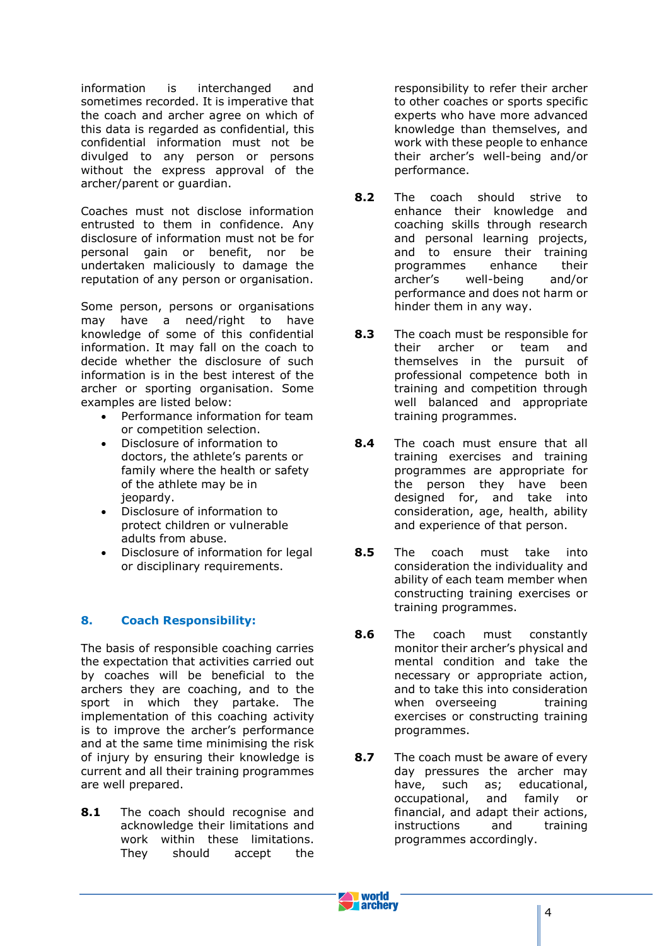information is interchanged and sometimes recorded. It is imperative that the coach and archer agree on which of this data is regarded as confidential, this confidential information must not be divulged to any person or persons without the express approval of the archer/parent or guardian.

Coaches must not disclose information entrusted to them in confidence. Any disclosure of information must not be for personal gain or benefit, nor be undertaken maliciously to damage the reputation of any person or organisation.

Some person, persons or organisations may have a need/right to have knowledge of some of this confidential information. It may fall on the coach to decide whether the disclosure of such information is in the best interest of the archer or sporting organisation. Some examples are listed below:

- Performance information for team or competition selection.
- Disclosure of information to doctors, the athlete's parents or family where the health or safety of the athlete may be in jeopardy.
- Disclosure of information to protect children or vulnerable adults from abuse.
- Disclosure of information for legal or disciplinary requirements.

# **8. Coach Responsibility:**

The basis of responsible coaching carries the expectation that activities carried out by coaches will be beneficial to the archers they are coaching, and to the sport in which they partake. The implementation of this coaching activity is to improve the archer's performance and at the same time minimising the risk of injury by ensuring their knowledge is current and all their training programmes are well prepared.

8.1 The coach should recognise and acknowledge their limitations and work within these limitations. They should accept the responsibility to refer their archer to other coaches or sports specific experts who have more advanced knowledge than themselves, and work with these people to enhance their archer's well-being and/or performance.

- **8.2** The coach should strive to enhance their knowledge and coaching skills through research and personal learning projects, and to ensure their training programmes enhance their archer's well-being and/or performance and does not harm or hinder them in any way.
- **8.3** The coach must be responsible for their archer or team and themselves in the pursuit of professional competence both in training and competition through well balanced and appropriate training programmes.
- **8.4** The coach must ensure that all training exercises and training programmes are appropriate for the person they have been designed for, and take into consideration, age, health, ability and experience of that person.
- **8.5** The coach must take into consideration the individuality and ability of each team member when constructing training exercises or training programmes.
- **8.6** The coach must constantly monitor their archer's physical and mental condition and take the necessary or appropriate action, and to take this into consideration when overseeing training exercises or constructing training programmes.
- **8.7** The coach must be aware of every day pressures the archer may have, such as; educational, occupational, and family or financial, and adapt their actions, instructions and training programmes accordingly.